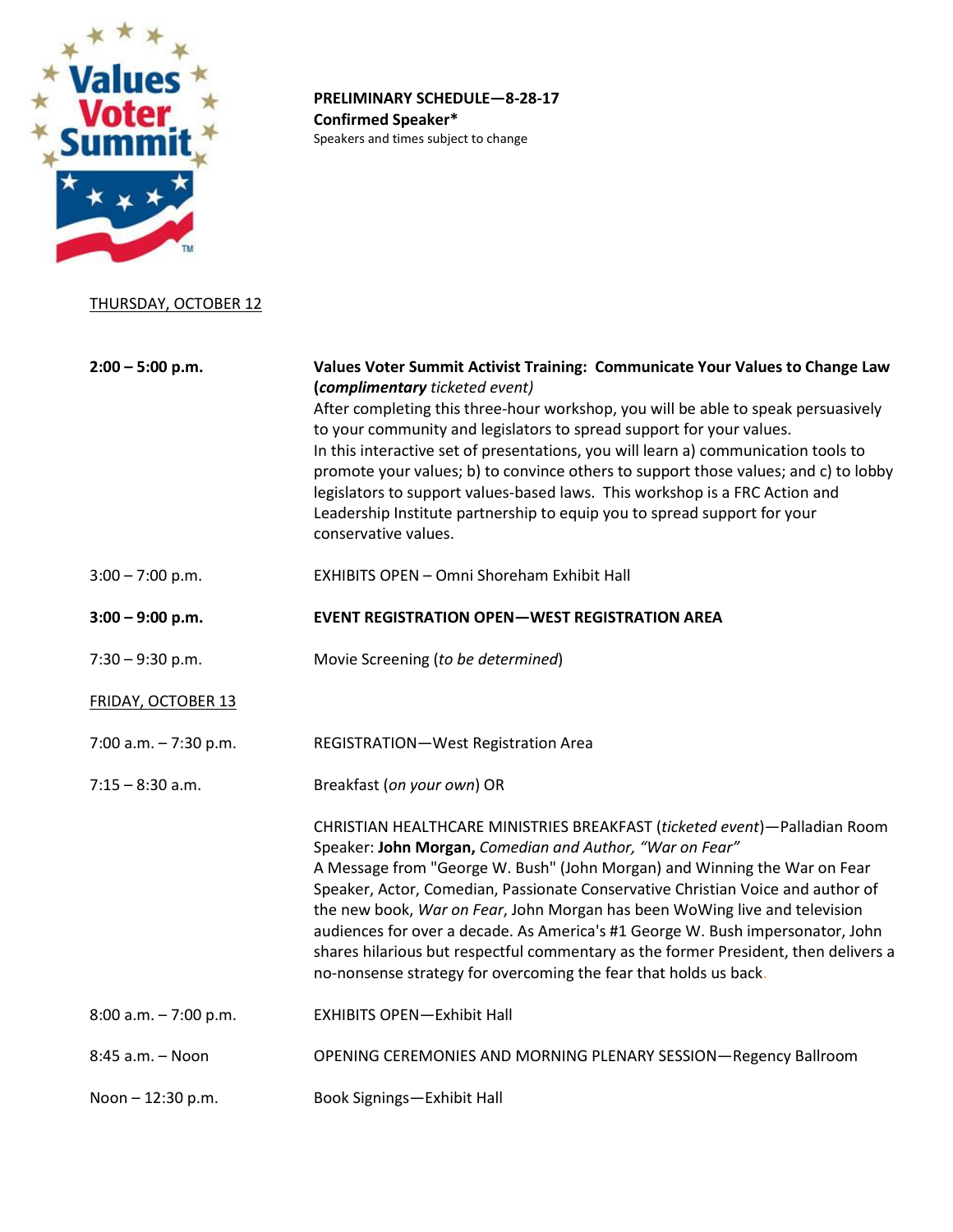

**PRELIMINARY SCHEDULE—8-28-17 Confirmed Speaker\*** Speakers and times subject to change

## THURSDAY, OCTOBER 12

**2:00 – 5:00 p.m. Values Voter Summit Activist Training: Communicate Your Values to Change Law (***complimentary ticketed event)* After completing this three-hour workshop, you will be able to speak persuasively to your community and legislators to spread support for your values. In this interactive set of presentations, you will learn a) communication tools to promote your values; b) to convince others to support those values; and c) to lobby legislators to support values-based laws. This workshop is a FRC Action and Leadership Institute partnership to equip you to spread support for your conservative values. 3:00 – 7:00 p.m. EXHIBITS OPEN – Omni Shoreham Exhibit Hall **3:00 – 9:00 p.m. EVENT REGISTRATION OPEN—WEST REGISTRATION AREA** 7:30 – 9:30 p.m. Movie Screening (*to be determined*) FRIDAY, OCTOBER 13 7:00 a.m. – 7:30 p.m. REGISTRATION—West Registration Area 7:15 – 8:30 a.m. Breakfast (*on your own*) OR CHRISTIAN HEALTHCARE MINISTRIES BREAKFAST (*ticketed event*)—Palladian Room Speaker: **John Morgan,** *Comedian and Author, "War on Fear"* A Message from "George W. Bush" (John Morgan) and Winning the War on Fear Speaker, Actor, Comedian, Passionate Conservative Christian Voice and author of the new book, *War on Fear*, John Morgan has been WoWing live and television audiences for over a decade. As America's #1 George W. Bush impersonator, John shares hilarious but respectful commentary as the former President, then delivers a no-nonsense strategy for overcoming the fear that holds us back. 8:00 a.m. – 7:00 p.m. EXHIBITS OPEN—Exhibit Hall 8:45 a.m. – Noon OPENING CEREMONIES AND MORNING PLENARY SESSION—Regency Ballroom Noon – 12:30 p.m. Book Signings—Exhibit Hall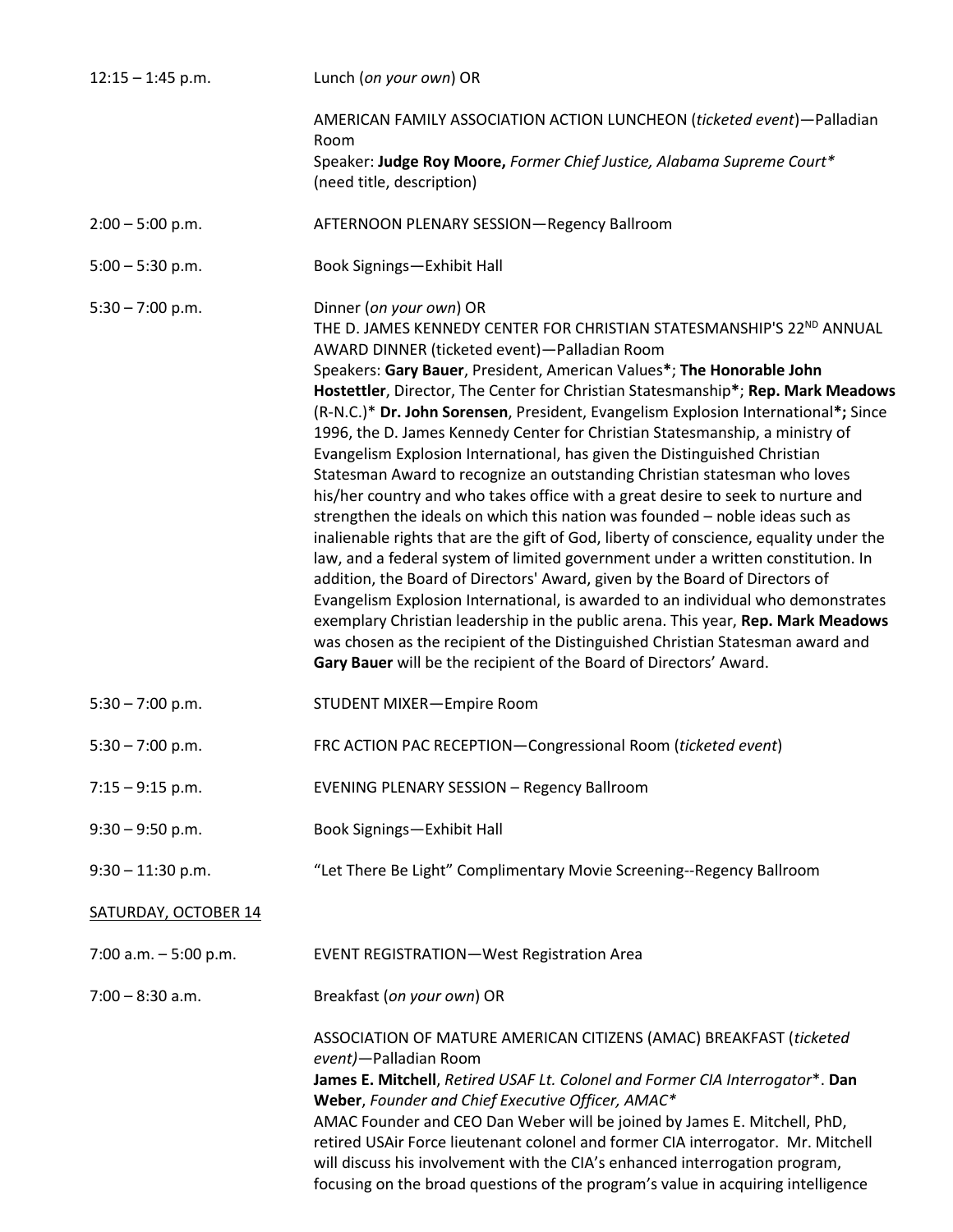| $12:15 - 1:45$ p.m.         | Lunch (on your own) OR                                                                                                                                                                                                                                                                                                                                                                                                                                                                                                                                                                                                                                                                                                                                                                                                                                                                                                                                                                                                                                                                                                                                                                                                                                                                                                                                                                                                    |
|-----------------------------|---------------------------------------------------------------------------------------------------------------------------------------------------------------------------------------------------------------------------------------------------------------------------------------------------------------------------------------------------------------------------------------------------------------------------------------------------------------------------------------------------------------------------------------------------------------------------------------------------------------------------------------------------------------------------------------------------------------------------------------------------------------------------------------------------------------------------------------------------------------------------------------------------------------------------------------------------------------------------------------------------------------------------------------------------------------------------------------------------------------------------------------------------------------------------------------------------------------------------------------------------------------------------------------------------------------------------------------------------------------------------------------------------------------------------|
|                             | AMERICAN FAMILY ASSOCIATION ACTION LUNCHEON (ticketed event)-Palladian<br>Room                                                                                                                                                                                                                                                                                                                                                                                                                                                                                                                                                                                                                                                                                                                                                                                                                                                                                                                                                                                                                                                                                                                                                                                                                                                                                                                                            |
|                             | Speaker: Judge Roy Moore, Former Chief Justice, Alabama Supreme Court*<br>(need title, description)                                                                                                                                                                                                                                                                                                                                                                                                                                                                                                                                                                                                                                                                                                                                                                                                                                                                                                                                                                                                                                                                                                                                                                                                                                                                                                                       |
| $2:00 - 5:00$ p.m.          | AFTERNOON PLENARY SESSION-Regency Ballroom                                                                                                                                                                                                                                                                                                                                                                                                                                                                                                                                                                                                                                                                                                                                                                                                                                                                                                                                                                                                                                                                                                                                                                                                                                                                                                                                                                                |
| $5:00 - 5:30$ p.m.          | Book Signings-Exhibit Hall                                                                                                                                                                                                                                                                                                                                                                                                                                                                                                                                                                                                                                                                                                                                                                                                                                                                                                                                                                                                                                                                                                                                                                                                                                                                                                                                                                                                |
| $5:30 - 7:00$ p.m.          | Dinner (on your own) OR<br>THE D. JAMES KENNEDY CENTER FOR CHRISTIAN STATESMANSHIP'S 22 <sup>ND</sup> ANNUAL<br>AWARD DINNER (ticketed event)-Palladian Room<br>Speakers: Gary Bauer, President, American Values*; The Honorable John<br>Hostettler, Director, The Center for Christian Statesmanship*; Rep. Mark Meadows<br>(R-N.C.)* Dr. John Sorensen, President, Evangelism Explosion International*; Since<br>1996, the D. James Kennedy Center for Christian Statesmanship, a ministry of<br>Evangelism Explosion International, has given the Distinguished Christian<br>Statesman Award to recognize an outstanding Christian statesman who loves<br>his/her country and who takes office with a great desire to seek to nurture and<br>strengthen the ideals on which this nation was founded - noble ideas such as<br>inalienable rights that are the gift of God, liberty of conscience, equality under the<br>law, and a federal system of limited government under a written constitution. In<br>addition, the Board of Directors' Award, given by the Board of Directors of<br>Evangelism Explosion International, is awarded to an individual who demonstrates<br>exemplary Christian leadership in the public arena. This year, Rep. Mark Meadows<br>was chosen as the recipient of the Distinguished Christian Statesman award and<br>Gary Bauer will be the recipient of the Board of Directors' Award. |
| $5:30 - 7:00$ p.m.          | <b>STUDENT MIXER-Empire Room</b>                                                                                                                                                                                                                                                                                                                                                                                                                                                                                                                                                                                                                                                                                                                                                                                                                                                                                                                                                                                                                                                                                                                                                                                                                                                                                                                                                                                          |
| $5:30 - 7:00$ p.m.          | FRC ACTION PAC RECEPTION-Congressional Room (ticketed event)                                                                                                                                                                                                                                                                                                                                                                                                                                                                                                                                                                                                                                                                                                                                                                                                                                                                                                                                                                                                                                                                                                                                                                                                                                                                                                                                                              |
| $7:15 - 9:15$ p.m.          | <b>EVENING PLENARY SESSION - Regency Ballroom</b>                                                                                                                                                                                                                                                                                                                                                                                                                                                                                                                                                                                                                                                                                                                                                                                                                                                                                                                                                                                                                                                                                                                                                                                                                                                                                                                                                                         |
| $9:30 - 9:50$ p.m.          | Book Signings-Exhibit Hall                                                                                                                                                                                                                                                                                                                                                                                                                                                                                                                                                                                                                                                                                                                                                                                                                                                                                                                                                                                                                                                                                                                                                                                                                                                                                                                                                                                                |
| $9:30 - 11:30$ p.m.         | "Let There Be Light" Complimentary Movie Screening--Regency Ballroom                                                                                                                                                                                                                                                                                                                                                                                                                                                                                                                                                                                                                                                                                                                                                                                                                                                                                                                                                                                                                                                                                                                                                                                                                                                                                                                                                      |
| <b>SATURDAY, OCTOBER 14</b> |                                                                                                                                                                                                                                                                                                                                                                                                                                                                                                                                                                                                                                                                                                                                                                                                                                                                                                                                                                                                                                                                                                                                                                                                                                                                                                                                                                                                                           |
| 7:00 a.m. $-5:00$ p.m.      | <b>EVENT REGISTRATION-West Registration Area</b>                                                                                                                                                                                                                                                                                                                                                                                                                                                                                                                                                                                                                                                                                                                                                                                                                                                                                                                                                                                                                                                                                                                                                                                                                                                                                                                                                                          |
| $7:00 - 8:30$ a.m.          | Breakfast (on your own) OR                                                                                                                                                                                                                                                                                                                                                                                                                                                                                                                                                                                                                                                                                                                                                                                                                                                                                                                                                                                                                                                                                                                                                                                                                                                                                                                                                                                                |
|                             | ASSOCIATION OF MATURE AMERICAN CITIZENS (AMAC) BREAKFAST (ticketed<br>event)-Palladian Room<br>James E. Mitchell, Retired USAF Lt. Colonel and Former CIA Interrogator*. Dan<br>Weber, Founder and Chief Executive Officer, AMAC*<br>AMAC Founder and CEO Dan Weber will be joined by James E. Mitchell, PhD,<br>retired USAir Force lieutenant colonel and former CIA interrogator. Mr. Mitchell<br>will discuss his involvement with the CIA's enhanced interrogation program,<br>focusing on the broad questions of the program's value in acquiring intelligence                                                                                                                                                                                                                                                                                                                                                                                                                                                                                                                                                                                                                                                                                                                                                                                                                                                      |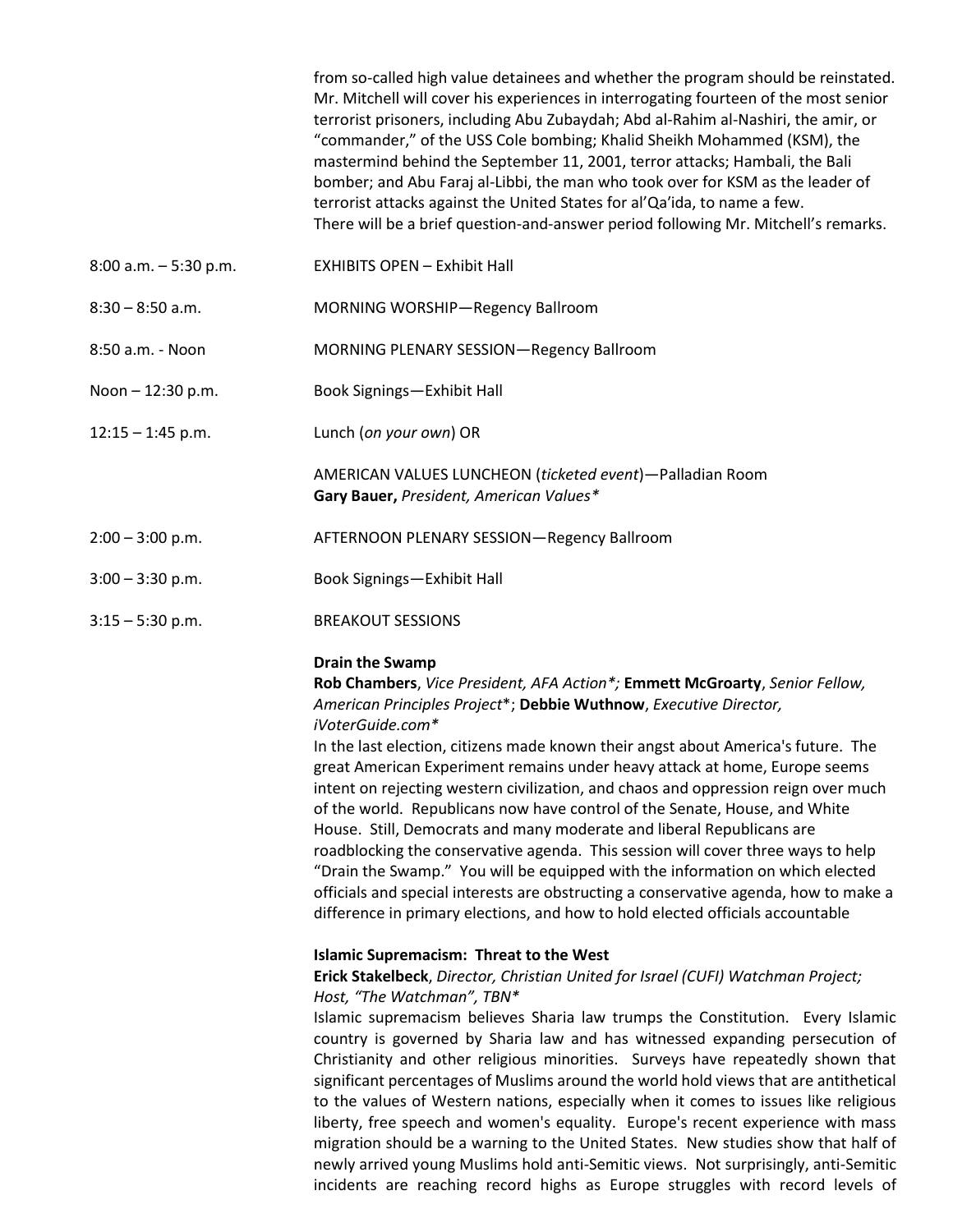|                          | from so-called high value detainees and whether the program should be reinstated.<br>Mr. Mitchell will cover his experiences in interrogating fourteen of the most senior<br>terrorist prisoners, including Abu Zubaydah; Abd al-Rahim al-Nashiri, the amir, or<br>"commander," of the USS Cole bombing; Khalid Sheikh Mohammed (KSM), the<br>mastermind behind the September 11, 2001, terror attacks; Hambali, the Bali<br>bomber; and Abu Faraj al-Libbi, the man who took over for KSM as the leader of<br>terrorist attacks against the United States for al'Qa'ida, to name a few.<br>There will be a brief question-and-answer period following Mr. Mitchell's remarks.                                                                                                                                                                                                                                                                                |
|--------------------------|---------------------------------------------------------------------------------------------------------------------------------------------------------------------------------------------------------------------------------------------------------------------------------------------------------------------------------------------------------------------------------------------------------------------------------------------------------------------------------------------------------------------------------------------------------------------------------------------------------------------------------------------------------------------------------------------------------------------------------------------------------------------------------------------------------------------------------------------------------------------------------------------------------------------------------------------------------------|
| $8:00$ a.m. $-5:30$ p.m. | <b>EXHIBITS OPEN - Exhibit Hall</b>                                                                                                                                                                                                                                                                                                                                                                                                                                                                                                                                                                                                                                                                                                                                                                                                                                                                                                                           |
| $8:30 - 8:50$ a.m.       | MORNING WORSHIP-Regency Ballroom                                                                                                                                                                                                                                                                                                                                                                                                                                                                                                                                                                                                                                                                                                                                                                                                                                                                                                                              |
| 8:50 a.m. - Noon         | MORNING PLENARY SESSION-Regency Ballroom                                                                                                                                                                                                                                                                                                                                                                                                                                                                                                                                                                                                                                                                                                                                                                                                                                                                                                                      |
| Noon $- 12:30$ p.m.      | Book Signings-Exhibit Hall                                                                                                                                                                                                                                                                                                                                                                                                                                                                                                                                                                                                                                                                                                                                                                                                                                                                                                                                    |
| $12:15 - 1:45$ p.m.      | Lunch (on your own) OR                                                                                                                                                                                                                                                                                                                                                                                                                                                                                                                                                                                                                                                                                                                                                                                                                                                                                                                                        |
|                          | AMERICAN VALUES LUNCHEON (ticketed event)-Palladian Room<br>Gary Bauer, President, American Values*                                                                                                                                                                                                                                                                                                                                                                                                                                                                                                                                                                                                                                                                                                                                                                                                                                                           |
| $2:00 - 3:00$ p.m.       | AFTERNOON PLENARY SESSION-Regency Ballroom                                                                                                                                                                                                                                                                                                                                                                                                                                                                                                                                                                                                                                                                                                                                                                                                                                                                                                                    |
| $3:00 - 3:30$ p.m.       | Book Signings-Exhibit Hall                                                                                                                                                                                                                                                                                                                                                                                                                                                                                                                                                                                                                                                                                                                                                                                                                                                                                                                                    |
| $3:15 - 5:30$ p.m.       | <b>BREAKOUT SESSIONS</b>                                                                                                                                                                                                                                                                                                                                                                                                                                                                                                                                                                                                                                                                                                                                                                                                                                                                                                                                      |
|                          | <b>Drain the Swamp</b><br>Rob Chambers, Vice President, AFA Action*; Emmett McGroarty, Senior Fellow,<br>American Principles Project*; Debbie Wuthnow, Executive Director,<br>iVoterGuide.com*<br>In the last election, citizens made known their angst about America's future. The<br>great American Experiment remains under heavy attack at home, Europe seems<br>intent on rejecting western civilization, and chaos and oppression reign over much<br>of the world. Republicans now have control of the Senate, House, and White<br>House. Still, Democrats and many moderate and liberal Republicans are<br>roadblocking the conservative agenda. This session will cover three ways to help<br>"Drain the Swamp." You will be equipped with the information on which elected<br>officials and special interests are obstructing a conservative agenda, how to make a<br>difference in primary elections, and how to hold elected officials accountable |
|                          | <b>Islamic Supremacism: Threat to the West</b><br>Erick Stakelbeck, Director, Christian United for Israel (CUFI) Watchman Project;<br>Host, "The Watchman", TBN*<br>Islamic supremacism believes Sharia law trumps the Constitution. Every Islamic<br>country is governed by Sharia law and has witnessed expanding persecution of<br>Christianity and other religious minorities. Surveys have repeatedly shown that<br>significant percentages of Muslims around the world hold views that are antithetical<br>to the values of Western nations, especially when it comes to issues like religious<br>liberty, free speech and women's equality. Europe's recent experience with mass<br>migration should be a warning to the United States. New studies show that half of<br>newly arrived young Muslims hold anti-Semitic views. Not surprisingly, anti-Semitic<br>incidents are reaching record highs as Europe struggles with record levels of          |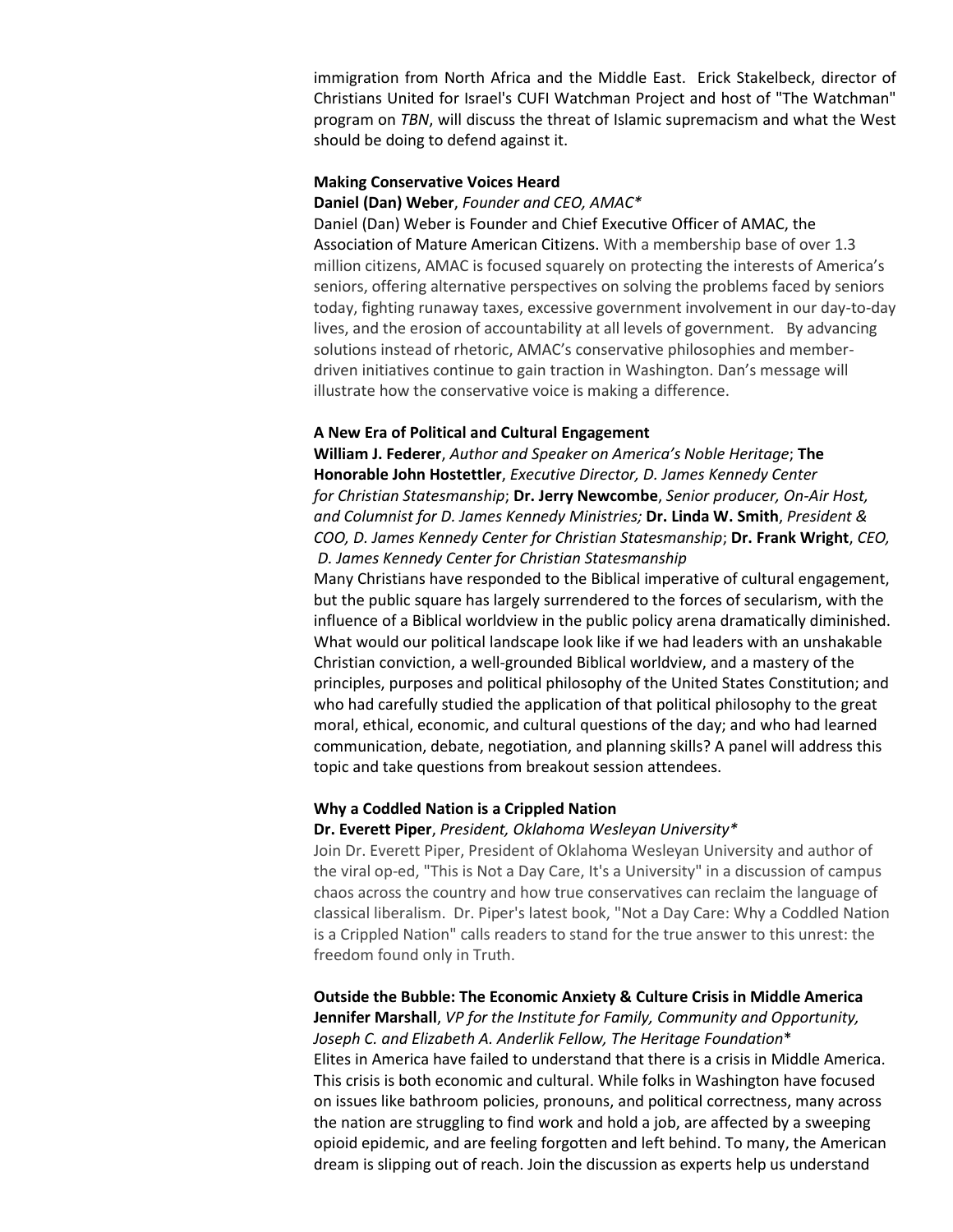immigration from North Africa and the Middle East. Erick Stakelbeck, director of Christians United for Israel's CUFI Watchman Project and host of "The Watchman" program on *TBN*, will discuss the threat of Islamic supremacism and what the West should be doing to defend against it.

### **Making Conservative Voices Heard**

### **Daniel (Dan) Weber**, *Founder and CEO, AMAC\**

Daniel (Dan) Weber is Founder and Chief Executive Officer of AMAC, the Association of Mature American Citizens. With a membership base of over 1.3 million citizens, AMAC is focused squarely on protecting the interests of America's seniors, offering alternative perspectives on solving the problems faced by seniors today, fighting runaway taxes, excessive government involvement in our day-to-day lives, and the erosion of accountability at all levels of government. By advancing solutions instead of rhetoric, AMAC's conservative philosophies and memberdriven initiatives continue to gain traction in Washington. Dan's message will illustrate how the conservative voice is making a difference.

#### **A New Era of Political and Cultural Engagement**

**William J. Federer**, *Author and Speaker on America's Noble Heritage*; **The Honorable John Hostettler**, *Executive Director, D. James Kennedy Center for Christian Statesmanship*; **Dr. Jerry Newcombe**, *Senior producer, On-Air Host, and Columnist for D. James Kennedy Ministries;* **Dr. Linda W. Smith**, *President & COO, D. James Kennedy Center for Christian Statesmanship*; **Dr. Frank Wright**, *CEO, D. James Kennedy Center for Christian Statesmanship*

Many Christians have responded to the Biblical imperative of cultural engagement, but the public square has largely surrendered to the forces of secularism, with the influence of a Biblical worldview in the public policy arena dramatically diminished. What would our political landscape look like if we had leaders with an unshakable Christian conviction, a well-grounded Biblical worldview, and a mastery of the principles, purposes and political philosophy of the United States Constitution; and who had carefully studied the application of that political philosophy to the great moral, ethical, economic, and cultural questions of the day; and who had learned communication, debate, negotiation, and planning skills? A panel will address this topic and take questions from breakout session attendees.

### **Why a Coddled Nation is a Crippled Nation**

### **Dr. Everett Piper**, *President, Oklahoma Wesleyan University\**

Join Dr. Everett Piper, President of Oklahoma Wesleyan University and author of the viral op-ed, "This is Not a Day Care, It's a University" in a discussion of campus chaos across the country and how true conservatives can reclaim the language of classical liberalism. Dr. Piper's latest book, "Not a Day Care: Why a Coddled Nation is a Crippled Nation" calls readers to stand for the true answer to this unrest: the freedom found only in Truth.

### **Outside the Bubble: The Economic Anxiety & Culture Crisis in Middle America Jennifer Marshall**, *VP for the Institute for Family, Community and Opportunity,*

*Joseph C. and Elizabeth A. Anderlik Fellow, The Heritage Foundation*\* Elites in America have failed to understand that there is a crisis in Middle America. This crisis is both economic and cultural. While folks in Washington have focused on issues like bathroom policies, pronouns, and political correctness, many across the nation are struggling to find work and hold a job, are affected by a sweeping opioid epidemic, and are feeling forgotten and left behind. To many, the American dream is slipping out of reach. Join the discussion as experts help us understand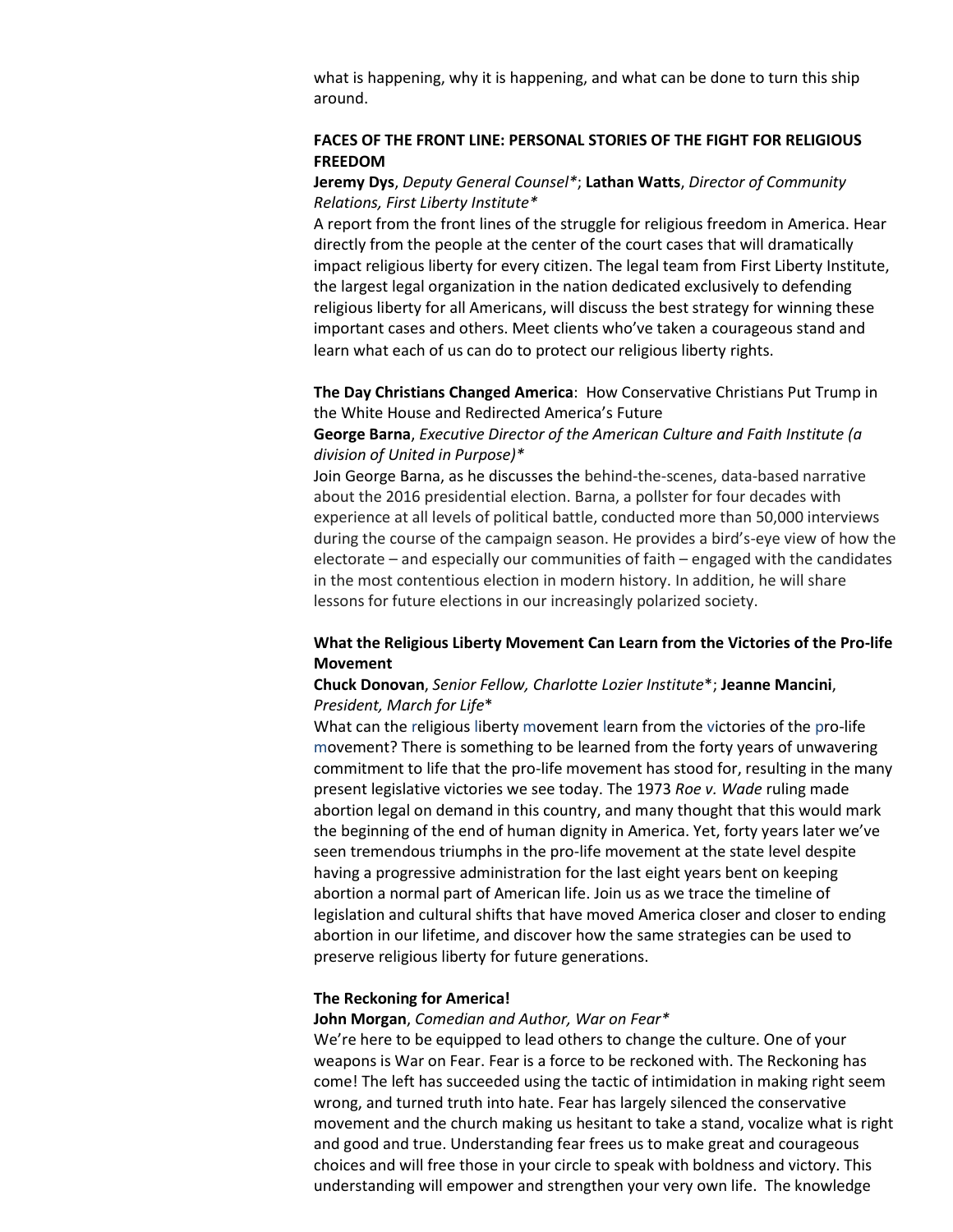what is happening, why it is happening, and what can be done to turn this ship around.

## **FACES OF THE FRONT LINE: PERSONAL STORIES OF THE FIGHT FOR RELIGIOUS FREEDOM**

## **Jeremy Dys**, *Deputy General Counsel\**; **Lathan Watts**, *Director of Community Relations, First Liberty Institute\**

A report from the front lines of the struggle for religious freedom in America. Hear directly from the people at the center of the court cases that will dramatically impact religious liberty for every citizen. The legal team from First Liberty Institute, the largest legal organization in the nation dedicated exclusively to defending religious liberty for all Americans, will discuss the best strategy for winning these important cases and others. Meet clients who've taken a courageous stand and learn what each of us can do to protect our religious liberty rights.

### **The Day Christians Changed America**: How Conservative Christians Put Trump in the White House and Redirected America's Future

### **George Barna**, *Executive Director of the American Culture and Faith Institute (a division of United in Purpose)\**

Join George Barna, as he discusses the behind-the-scenes, data-based narrative about the 2016 presidential election. Barna, a pollster for four decades with experience at all levels of political battle, conducted more than 50,000 interviews during the course of the campaign season. He provides a bird's-eye view of how the electorate – and especially our communities of faith – engaged with the candidates in the most contentious election in modern history. In addition, he will share lessons for future elections in our increasingly polarized society.

## **What the Religious Liberty Movement Can Learn from the Victories of the Pro-life Movement**

## **Chuck Donovan**, *Senior Fellow, Charlotte Lozier Institute*\*; **Jeanne Mancini**, *President, March for Life*\*

What can the religious liberty movement learn from the victories of the pro-life movement? There is something to be learned from the forty years of unwavering commitment to life that the pro-life movement has stood for, resulting in the many present legislative victories we see today. The 1973 *Roe v. Wade* ruling made abortion legal on demand in this country, and many thought that this would mark the beginning of the end of human dignity in America. Yet, forty years later we've seen tremendous triumphs in the pro-life movement at the state level despite having a progressive administration for the last eight years bent on keeping abortion a normal part of American life. Join us as we trace the timeline of legislation and cultural shifts that have moved America closer and closer to ending abortion in our lifetime, and discover how the same strategies can be used to preserve religious liberty for future generations.

### **The Reckoning for America!**

### **John Morgan**, *Comedian and Author, War on Fear\**

We're here to be equipped to lead others to change the culture. One of your weapons is War on Fear. Fear is a force to be reckoned with. The Reckoning has come! The left has succeeded using the tactic of intimidation in making right seem wrong, and turned truth into hate. Fear has largely silenced the conservative movement and the church making us hesitant to take a stand, vocalize what is right and good and true. Understanding fear frees us to make great and courageous choices and will free those in your circle to speak with boldness and victory. This understanding will empower and strengthen your very own life. The knowledge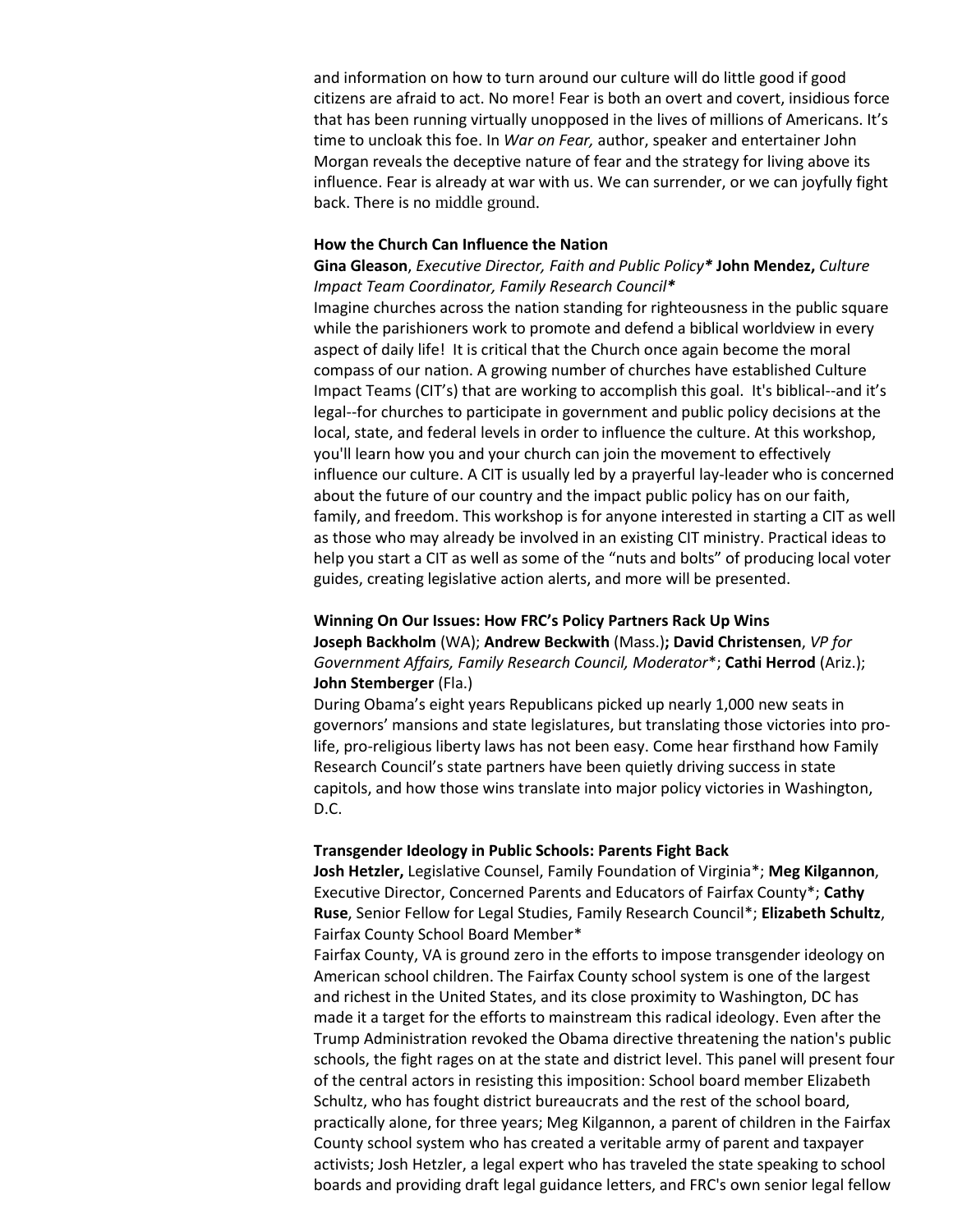and information on how to turn around our culture will do little good if good citizens are afraid to act. No more! Fear is both an overt and covert, insidious force that has been running virtually unopposed in the lives of millions of Americans. It's time to uncloak this foe. In *War on Fear,* author, speaker and entertainer John Morgan reveals the deceptive nature of fear and the strategy for living above its influence. Fear is already at war with us. We can surrender, or we can joyfully fight back. There is no middle ground.

#### **How the Church Can Influence the Nation**

## **Gina Gleason**, *Executive Director, Faith and Public Policy\** **John Mendez,** *Culture Impact Team Coordinator, Family Research Council\**

Imagine churches across the nation standing for righteousness in the public square while the parishioners work to promote and defend a biblical worldview in every aspect of daily life! It is critical that the Church once again become the moral compass of our nation. A growing number of churches have established Culture Impact Teams (CIT's) that are working to accomplish this goal. It's biblical--and it's legal--for churches to participate in government and public policy decisions at the local, state, and federal levels in order to influence the culture. At this workshop, you'll learn how you and your church can join the movement to effectively influence our culture. A CIT is usually led by a prayerful lay-leader who is concerned about the future of our country and the impact public policy has on our faith, family, and freedom. This workshop is for anyone interested in starting a CIT as well as those who may already be involved in an existing CIT ministry. Practical ideas to help you start a CIT as well as some of the "nuts and bolts" of producing local voter guides, creating legislative action alerts, and more will be presented.

# **Winning On Our Issues: How FRC's Policy Partners Rack Up Wins Joseph Backholm** (WA); **Andrew Beckwith** (Mass.)**; David Christensen**, *VP for Government Affairs, Family Research Council, Moderator*\*; **Cathi Herrod** (Ariz.); **John Stemberger** (Fla.)

During Obama's eight years Republicans picked up nearly 1,000 new seats in governors' mansions and state legislatures, but translating those victories into prolife, pro-religious liberty laws has not been easy. Come hear firsthand how Family Research Council's state partners have been quietly driving success in state capitols, and how those wins translate into major policy victories in Washington, D.C.

### **Transgender Ideology in Public Schools: Parents Fight Back**

**Josh Hetzler,** Legislative Counsel, Family Foundation of Virginia\*; **Meg Kilgannon**, Executive Director, Concerned Parents and Educators of Fairfax County\*; **Cathy Ruse**, Senior Fellow for Legal Studies, Family Research Council\*; **Elizabeth Schultz**, Fairfax County School Board Member\*

Fairfax County, VA is ground zero in the efforts to impose transgender ideology on American school children. The Fairfax County school system is one of the largest and richest in the United States, and its close proximity to Washington, DC has made it a target for the efforts to mainstream this radical ideology. Even after the Trump Administration revoked the Obama directive threatening the nation's public schools, the fight rages on at the state and district level. This panel will present four of the central actors in resisting this imposition: School board member Elizabeth Schultz, who has fought district bureaucrats and the rest of the school board, practically alone, for three years; Meg Kilgannon, a parent of children in the Fairfax County school system who has created a veritable army of parent and taxpayer activists; Josh Hetzler, a legal expert who has traveled the state speaking to school boards and providing draft legal guidance letters, and FRC's own senior legal fellow